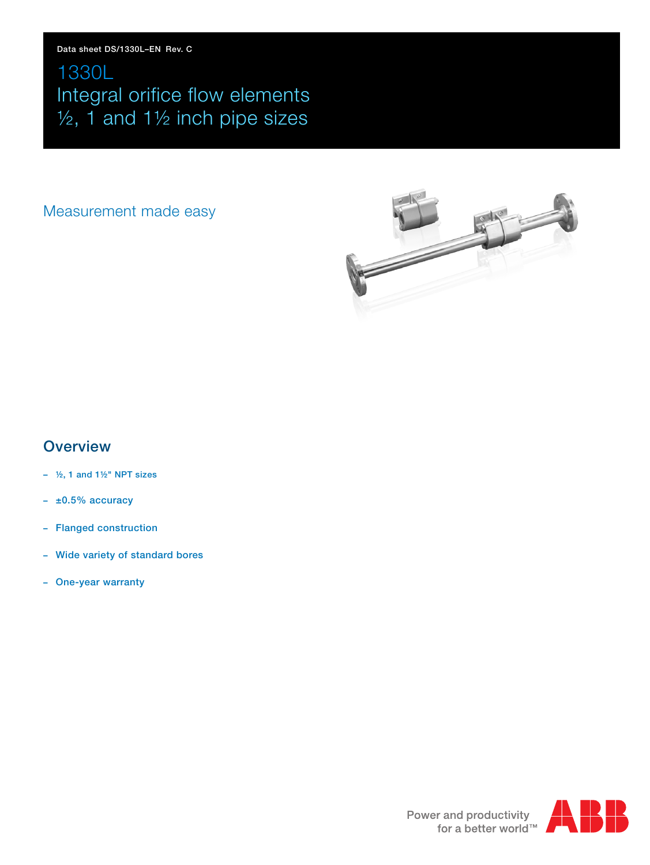# 1330L Integral orifice flow elements ½, 1 and 1½ inch pipe sizes

# Measurement made easy



# **Overview**

- **½, 1 and 1½" NPT sizes**
- **– ±0.5% accuracy**
- **– Flanged construction**
- **– Wide variety of standard bores**
- **– One-year warranty**

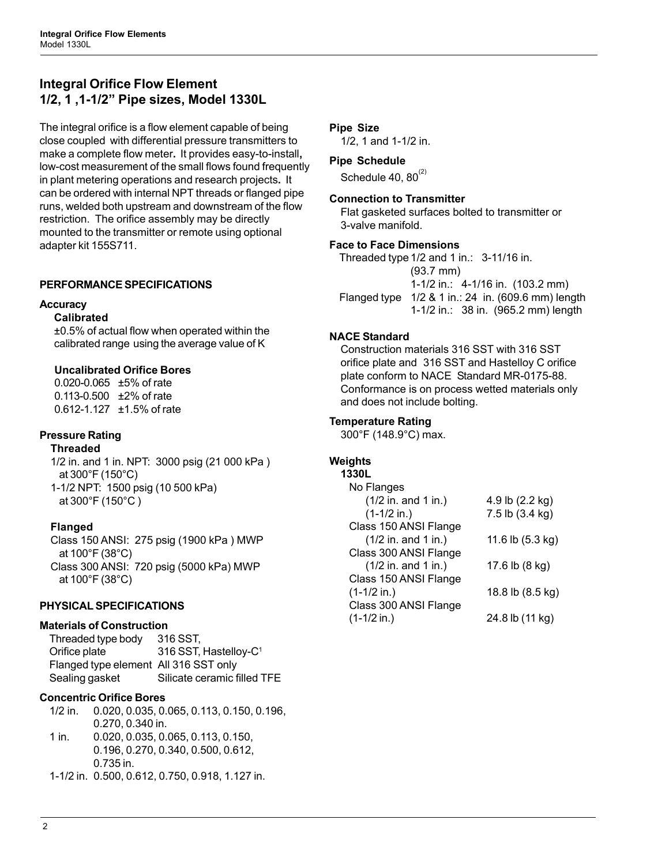# **Integral Orifice Flow Element 1/2, 1 ,1-1/2" Pipe sizes, Model 1330L**

The integral orifice is a flow element capable of being close coupled with differential pressure transmitters to make a complete flow meter**.** It provides easy-to-install**,** low-cost measurement of the small flows found frequently in plant metering operations and research projects**.** It can be ordered with internal NPT threads or flanged pipe runs, welded both upstream and downstream of the flow restriction. The orifice assembly may be directly mounted to the transmitter or remote using optional adapter kit 155S711.

# **PERFORMANCE SPECIFICATIONS**

#### **Accuracy**

#### **Calibrated**

±0.5% of actual flow when operated within the calibrated range using the average value of K

## **Uncalibrated Orifice Bores**

0.020-0.065 ±5% of rate 0.113-0.500 ±2% of rate 0.612-1.127 ±1.5% of rate

# **Pressure Rating**

**Threaded**

1/2 in. and 1 in. NPT: 3000 psig (21 000 kPa ) at 300°F (150°C) 1-1/2 NPT: 1500 psig (10 500 kPa) at 300°F (150°C )

# **Flanged**

Class 150 ANSI: 275 psig (1900 kPa ) MWP at 100°F (38°C) Class 300 ANSI: 720 psig (5000 kPa) MWP at 100°F (38°C)

# **PHYSICAL SPECIFICATIONS**

#### **Materials of Construction**

Threaded type body 316 SST, Orifice plate 316 SST, Hastelloy-C<sup>1</sup> Flanged type element All 316 SST only Sealing gasket Silicate ceramic filled TFE

# **Concentric Orifice Bores**

1/2 in. 0.020, 0.035, 0.065, 0.113, 0.150, 0.196, 0.270, 0.340 in. 1 in. 0.020, 0.035, 0.065, 0.113, 0.150, 0.196, 0.270, 0.340, 0.500, 0.612,

0.735 in.

1-1/2 in. 0.500, 0.612, 0.750, 0.918, 1.127 in.

# **Pipe Size**

1/2, 1 and 1-1/2 in.

#### **Pipe Schedule**

Schedule 40,  $80^{(2)}$ 

#### **Connection to Transmitter**

Flat gasketed surfaces bolted to transmitter or 3-valve manifold.

#### **Face to Face Dimensions**

Threaded type 1/2 and 1 in.: 3-11/16 in. (93.7 mm) 1-1/2 in.: 4-1/16 in. (103.2 mm) Flanged type 1/2 & 1 in.: 24 in. (609.6 mm) length 1-1/2 in.: 38 in. (965.2 mm) length

#### **NACE Standard**

Construction materials 316 SST with 316 SST orifice plate and 316 SST and Hastelloy C orifice plate conform to NACE Standard MR-0175-88. Conformance is on process wetted materials only and does not include bolting.

## **Temperature Rating**

300°F (148.9°C) max.

#### **Weights**

| 1330L                 |                  |
|-----------------------|------------------|
| No Flanges            |                  |
| $(1/2$ in. and 1 in.) | 4.9 lb (2.2 kg)  |
| $(1-1/2$ in.)         | 7.5 lb (3.4 kg)  |
| Class 150 ANSI Flange |                  |
| $(1/2$ in. and 1 in.) | 11.6 lb (5.3 kg) |
| Class 300 ANSI Flange |                  |
| $(1/2$ in. and 1 in.) | 17.6 lb (8 kg)   |
| Class 150 ANSI Flange |                  |
| $(1-1/2$ in.)         | 18.8 lb (8.5 kg) |
| Class 300 ANSI Flange |                  |
| $(1-1/2$ in.)         | 24.8 lb (11 kg)  |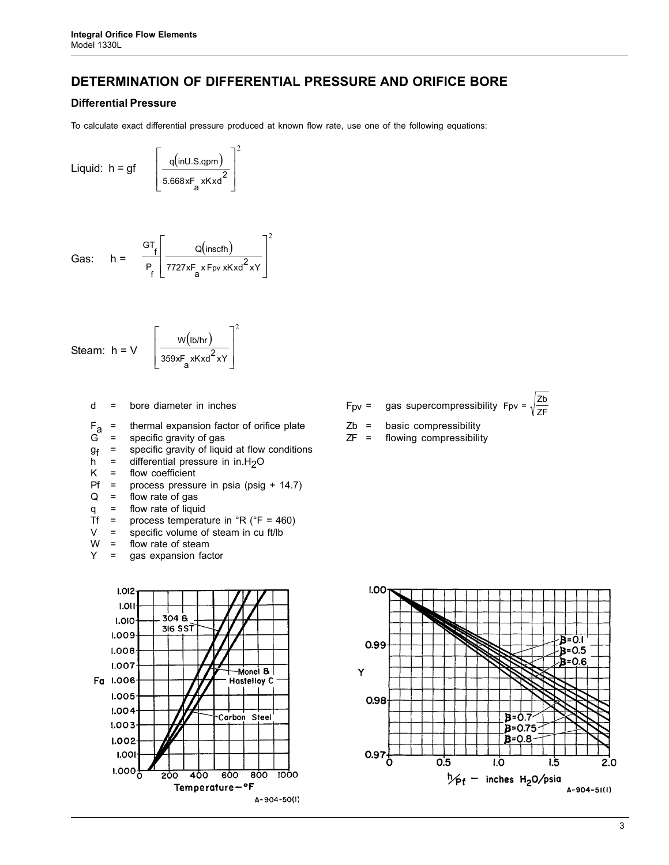# **DETERMINATION OF DIFFERENTIAL PRESSURE AND ORIFICE BORE**

#### **Differential Pressure**

To calculate exact differential pressure produced at known flow rate, use one of the following equations:

2

2

 $\overline{\phantom{a}}$  $\overline{\phantom{a}}$  $\rfloor$ 

 $\overline{\phantom{a}}$ 

$$
Liquid: h = gf \qquad \int \frac{q(inU.S.qpm)}{5.668 \times F_a \times K \times d^2}
$$

$$
\text{Gas:} \quad h = \quad \frac{\text{GT}_{f}}{\text{P}_{f}} \left[ \frac{Q(\text{inscfh})}{7727 \times \text{F}_{a} \times \text{Fpv} \times \text{Kxd}^{2} \times \text{Y}} \right]
$$

$$
\text{Steam: } h = V \quad \left[ \frac{W(\text{lb/hr})}{359 \times F_a \times K \times d^2 \times Y} \right]^2
$$

- $F_a$  = thermal expansion factor of orifice plate  $Zb$  = basic compressibility<br>G = specific gravity of gas  $ZF$  = flowing compressibility
- 
- $g_f$  = specific gravity of liquid at flow conditions<br>h = differential pressure in in H<sub>2</sub>O
- h = differential pressure in  $in.H<sub>2</sub>O$ <br>K = flow coefficient
- flow coefficient
- Pf = process pressure in psia (psig + 14.7)
- $Q =$  flow rate of gas
- q = flow rate of liquid
- Tf = process temperature in  ${}^{\circ}R$  ( ${}^{\circ}F$  = 460)
- $V =$  specific volume of steam in cu ft/lb<br>W = flow rate of steam
- $=$  flow rate of steam
- Y = gas expansion factor



- d = bore diameter in inches  $F_{\text{pv}} = \text{gas supercompressibility } F_{\text{pv}} = \sqrt{\frac{Zb}{\pi}}$ 
	-
	- flowing compressibility



ZF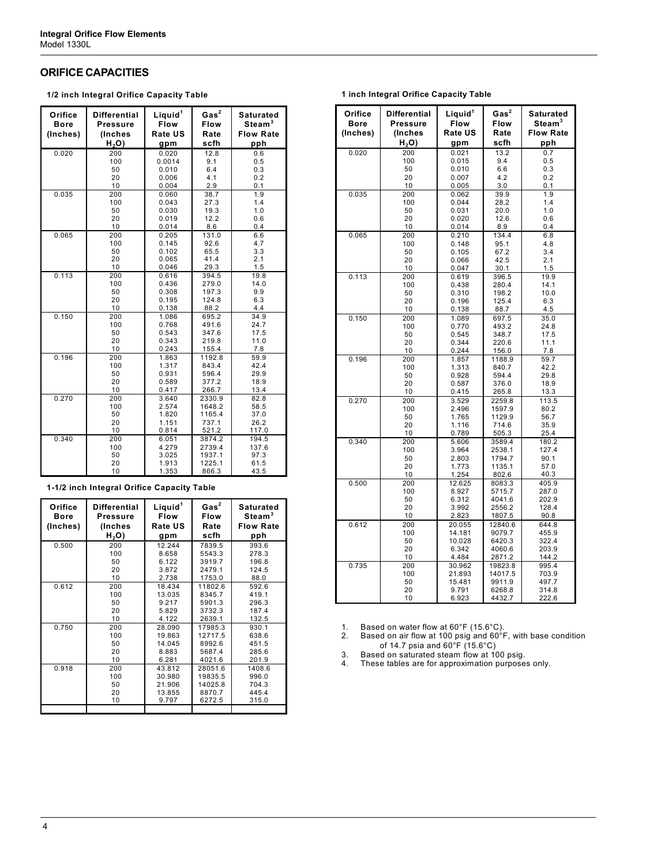#### **ORIFICE CAPACITIES**

**1/2 inch Integral Orifice Capacity Table** 

| Orifice<br><b>Bore</b><br>(Inches) | <b>Differential</b><br><b>Pressure</b><br>(Inches<br>H,O) | Liquid <sup>1</sup><br><b>Flow</b><br>Rate US<br>gpm | Gas <sup>2</sup><br><b>Flow</b><br>Rate<br>scfh | <b>Saturated</b><br>Steam <sup>3</sup><br><b>Flow Rate</b><br>pph |  |  |  |  |  |
|------------------------------------|-----------------------------------------------------------|------------------------------------------------------|-------------------------------------------------|-------------------------------------------------------------------|--|--|--|--|--|
| 0.020                              | 200                                                       | 0.020                                                | 12.8                                            | 0.6                                                               |  |  |  |  |  |
|                                    | 100                                                       | 0.0014                                               | 9.1                                             | 0.5                                                               |  |  |  |  |  |
|                                    | 50                                                        | 0.010                                                | 6.4                                             | 0.3                                                               |  |  |  |  |  |
|                                    | 20                                                        | 0.006                                                | 4.1                                             | 0.2                                                               |  |  |  |  |  |
|                                    | 10                                                        | 0.004                                                | 2.9                                             | 0.1                                                               |  |  |  |  |  |
| 0.035                              | 200                                                       | 0.060                                                | 38.7                                            | 1.9                                                               |  |  |  |  |  |
|                                    | 100                                                       | 0.043                                                | 27.3                                            | 1.4                                                               |  |  |  |  |  |
|                                    | 50                                                        | 0.030                                                | 19.3                                            | 1.0                                                               |  |  |  |  |  |
|                                    | 20                                                        | 0.019                                                | 12.2                                            | 0.6                                                               |  |  |  |  |  |
|                                    | 10                                                        | 0.014                                                | 8.6                                             | 0.4                                                               |  |  |  |  |  |
| 0.065                              | 200                                                       | 0.205                                                | 131.0                                           | 6.6                                                               |  |  |  |  |  |
|                                    | 100                                                       | 0.145                                                | 92.6                                            | 4.7                                                               |  |  |  |  |  |
|                                    | 50                                                        | 0.102                                                | 65.5                                            | 3.3                                                               |  |  |  |  |  |
|                                    | 20                                                        | 0.065                                                | 41.4                                            | 2.1                                                               |  |  |  |  |  |
|                                    | 10                                                        | 0.046                                                | 29.3                                            | 1.5                                                               |  |  |  |  |  |
| 0.113                              | 200                                                       | 0.616                                                | 394.5                                           | 19.8                                                              |  |  |  |  |  |
|                                    | 100<br>50                                                 | 0.436                                                | 279.0                                           | 14.0                                                              |  |  |  |  |  |
|                                    | 20                                                        | 0.308<br>0.195                                       | 197.3<br>124.8                                  | 9.9<br>6.3                                                        |  |  |  |  |  |
|                                    | 10                                                        | 0.138                                                | 88.2                                            | 4.4                                                               |  |  |  |  |  |
| 0.150                              | 200                                                       | 1.086                                                | 695.2                                           | 34.9                                                              |  |  |  |  |  |
|                                    | 100                                                       | 0.768                                                | 491.6                                           | 24.7                                                              |  |  |  |  |  |
|                                    | 50                                                        | 0.543                                                | 347.6                                           | 17.5                                                              |  |  |  |  |  |
|                                    | 20                                                        | 0.343                                                | 219.8                                           | 11.0                                                              |  |  |  |  |  |
|                                    | 10                                                        | 0.243                                                | 155.4                                           | 7.8                                                               |  |  |  |  |  |
| 0.196                              | 200                                                       | 1.863                                                | 1192.8                                          | 59.9                                                              |  |  |  |  |  |
|                                    | 100                                                       | 1.317                                                | 843.4                                           | 42.4                                                              |  |  |  |  |  |
|                                    | 50                                                        | 0.931                                                | 596.4                                           | 29.9                                                              |  |  |  |  |  |
|                                    | 20                                                        | 0.589                                                | 377.2                                           | 18.9                                                              |  |  |  |  |  |
|                                    | 10                                                        | 0.417                                                | 266.7                                           | 13.4                                                              |  |  |  |  |  |
| 0.270                              | 200                                                       | 3.640                                                | 2330.9                                          | 82.8                                                              |  |  |  |  |  |
|                                    | 100                                                       | 2.574                                                | 1648.2                                          | 58.5                                                              |  |  |  |  |  |
|                                    | 50                                                        | 1.820                                                | 1165.4                                          | 37.0                                                              |  |  |  |  |  |
|                                    | 20                                                        | 1.151                                                | 737.1                                           | 26.2                                                              |  |  |  |  |  |
|                                    | 10                                                        | 0.814                                                | 521.2                                           | 117.0                                                             |  |  |  |  |  |
| 0.340                              | 200                                                       | 6.051                                                | 3874.2                                          | 194.5                                                             |  |  |  |  |  |
|                                    | 100                                                       | 4.279                                                | 2739.4                                          | 137.6                                                             |  |  |  |  |  |
|                                    | 50                                                        | 3.025                                                | 1937.1                                          | 97.3                                                              |  |  |  |  |  |
|                                    | 20                                                        | 1.913                                                | 1225.1                                          | 61.5                                                              |  |  |  |  |  |
|                                    | 10                                                        | 1.353                                                | 866.3                                           | 43.5                                                              |  |  |  |  |  |

#### **1-1/2 inch Integral Orifice Capacity Table**

| Orifice<br>Bore<br>(Inches) | Differential<br>Pressure<br>(Inches<br>H <sub>2</sub> O | Liquid <sup>1</sup><br>Flow<br><b>Rate US</b><br>gpm | Gas <sup>2</sup><br>Flow<br>Rate<br>scfh | Saturated<br>Steam <sup>3</sup><br><b>Flow Rate</b><br>pph |
|-----------------------------|---------------------------------------------------------|------------------------------------------------------|------------------------------------------|------------------------------------------------------------|
| 0.500                       | 200                                                     | 12.244                                               | 7839.5                                   | 393.6                                                      |
|                             | 100                                                     | 8.658                                                | 5543.3                                   | 278.3                                                      |
|                             | 50                                                      | 6.122                                                | 3919.7                                   | 196.8                                                      |
|                             | 20                                                      | 3.872                                                | 2479.1                                   | 124.5                                                      |
|                             | 10                                                      | 2.738                                                | 1753.0                                   | 88.0                                                       |
| 0.612                       | 200                                                     | 18.434                                               | 11802.6                                  | 592.6                                                      |
|                             | 100                                                     | 13.035                                               | 8345.7                                   | 419.1                                                      |
|                             | 50                                                      | 9.217                                                | 5901.3                                   | 296.3                                                      |
|                             | 20                                                      | 5.829                                                | 3732.3                                   | 187.4                                                      |
|                             | 10                                                      | 4.122                                                | 2639.1                                   | 132.5                                                      |
| 0.750                       | 200                                                     | 28.090                                               | 17985.3                                  | 930.1                                                      |
|                             | 100                                                     | 19.863                                               | 12717.5                                  | 638.6                                                      |
|                             | 50                                                      | 14.045                                               | 8992.6                                   | 451.5                                                      |
|                             | 20                                                      | 8.883                                                | 5687.4                                   | 285.6                                                      |
|                             | 10                                                      | 6.281                                                | 4021.6                                   | 201.9                                                      |
| 0.918                       | 200                                                     | 43.812                                               | 28051.6                                  | 1408.6                                                     |
|                             | 100                                                     | 30.980                                               | 19835.5                                  | 996.0                                                      |
|                             | 50                                                      | 21.906                                               | 14025.8                                  | 704.3                                                      |
|                             | 20                                                      | 13.855                                               | 8870.7                                   | 445.4                                                      |
|                             | 10                                                      | 9.797                                                | 6272.5                                   | 315.0                                                      |
|                             |                                                         |                                                      |                                          |                                                            |

| Orifice<br>Bore<br>(Inches) | Differential<br><b>Pressure</b><br>(Inches<br>H <sub>2</sub> O | Liquid <sup>1</sup><br>Flow<br>Rate US<br>gpm | Gas <sup>2</sup><br>Flow<br>Rate<br>scfh | Saturated<br>Steam <sup>3</sup><br><b>Flow Rate</b><br>pph |
|-----------------------------|----------------------------------------------------------------|-----------------------------------------------|------------------------------------------|------------------------------------------------------------|
| 0.020                       | 200                                                            | 0.021                                         | 13.2                                     | 0.7                                                        |
|                             | 100                                                            | 0.015                                         | 9.4                                      | 0.5                                                        |
|                             | 50                                                             | 0.010                                         | 6.6                                      | 0.3                                                        |
|                             | 20<br>10                                                       | 0.007<br>0.005                                | 4.2<br>3.0                               | 0.2<br>0.1                                                 |
| 0.035                       | 200                                                            | 0.062                                         | 39.9                                     | 1.9                                                        |
|                             | 100                                                            | 0.044                                         | 28.2                                     | 1.4                                                        |
|                             | 50                                                             | 0.031                                         | 20.0                                     | 1.0                                                        |
|                             | 20                                                             | 0.020                                         | 12.6                                     | 0.6                                                        |
|                             | 10                                                             | 0.014                                         | 8.9                                      | 0.4                                                        |
| 0.065                       | 200                                                            | 0.210                                         | 134.4                                    | 6.8                                                        |
|                             | 100<br>50                                                      | 0.148<br>0.105                                | 95.1<br>67.2                             | 4.8<br>3.4                                                 |
|                             | 20                                                             | 0.066                                         | 42.5                                     | 2.1                                                        |
|                             | 10                                                             | 0.047                                         | 30.1                                     | 1.5                                                        |
| 0.113                       | 200                                                            | 0.619                                         | 396.5                                    | 19.9                                                       |
|                             | 100                                                            | 0.438                                         | 280.4                                    | 14.1                                                       |
|                             | 50                                                             | 0.310                                         | 198.2                                    | 10.0                                                       |
|                             | 20                                                             | 0.196                                         | 125.4                                    | 6.3                                                        |
| 0.150                       | 10<br>200                                                      | 0.138<br>1.089                                | 88.7<br>697.5                            | 4.5<br>35.0                                                |
|                             | 100                                                            | 0.770                                         | 493.2                                    | 24.8                                                       |
|                             | 50                                                             | 0.545                                         | 348.7                                    | 17.5                                                       |
|                             | 20                                                             | 0.344                                         | 220.6                                    | 11.1                                                       |
|                             | 10                                                             | 0.244                                         | 156.0                                    | 7.8                                                        |
| 0.196                       | 200                                                            | 1.857                                         | 1188.9                                   | 59.7                                                       |
|                             | 100                                                            | 1.313<br>0.928                                | 840.7<br>594.4                           | 42.2<br>29.8                                               |
|                             | 50<br>20                                                       | 0.587                                         | 376.0                                    | 18.9                                                       |
|                             | 10                                                             | 0.415                                         | 265.8                                    | 13.3                                                       |
| 0.270                       | 200                                                            | 3.529                                         | 2259.8                                   | 113.5                                                      |
|                             | 100                                                            | 2.496                                         | 1597.9                                   | 80.2                                                       |
|                             | 50                                                             | 1.765                                         | 1129.9                                   | 56.7                                                       |
|                             | 20<br>10                                                       | 1.116<br>0.789                                | 714.6<br>505.3                           | 35.9<br>25.4                                               |
| 0.340                       | 200                                                            | 5.606                                         | 3589.4                                   | 180.2                                                      |
|                             | 100                                                            | 3.964                                         | 2538.1                                   | 127.4                                                      |
|                             | 50                                                             | 2.803                                         | 1794.7                                   | 90.1                                                       |
|                             | 20                                                             | 1.773                                         | 1135.1                                   | 57.0                                                       |
|                             | 10                                                             | 1.254                                         | 802.6                                    | 40.3                                                       |
| 0.500                       | 200<br>100                                                     | 12.625<br>8.927                               | 8083.3<br>5715.7                         | 405.9<br>287.0                                             |
|                             | 50                                                             | 6.312                                         | 4041.6                                   | 202.9                                                      |
|                             | 20                                                             | 3.992                                         | 2556.2                                   | 128.4                                                      |
|                             | 10                                                             | 2.823                                         | 1807.5                                   | 90.8                                                       |
| 0.612                       | 200                                                            | 20.055                                        | 12840.6                                  | 644.8                                                      |
|                             | 100                                                            | 14.181                                        | 9079.7                                   | 455.9                                                      |
|                             | 50<br>20                                                       | 10.028<br>6.342                               | 6420.3<br>4060.6                         | 322.4<br>203.9                                             |
|                             | 10                                                             | 4.484                                         | 2871.2                                   | 144.2                                                      |
| 0.735                       | 200                                                            | 30.962                                        | 19823.8                                  | 995.4                                                      |
|                             | 100                                                            | 21.893                                        | 14017.5                                  | 703.9                                                      |
|                             | 50                                                             | 15.481                                        | 9911.9                                   | 497.7                                                      |
|                             | 20                                                             | 9.791                                         | 6268.8                                   | 314.8                                                      |
|                             | 10                                                             | 6.923                                         | 4432.7                                   | 222.6                                                      |

1. Based on water flow at 60°F (15.6°C).

2. Based on air flow at 100 psig and 60°F, with base condition of 14.7 psia and 60°F (15.6°C)

3. Based on saturated steam flow at 100 psig.

4. These tables are for approximation purposes only.

**1 inch Integral Orifice Capacity Table** 

r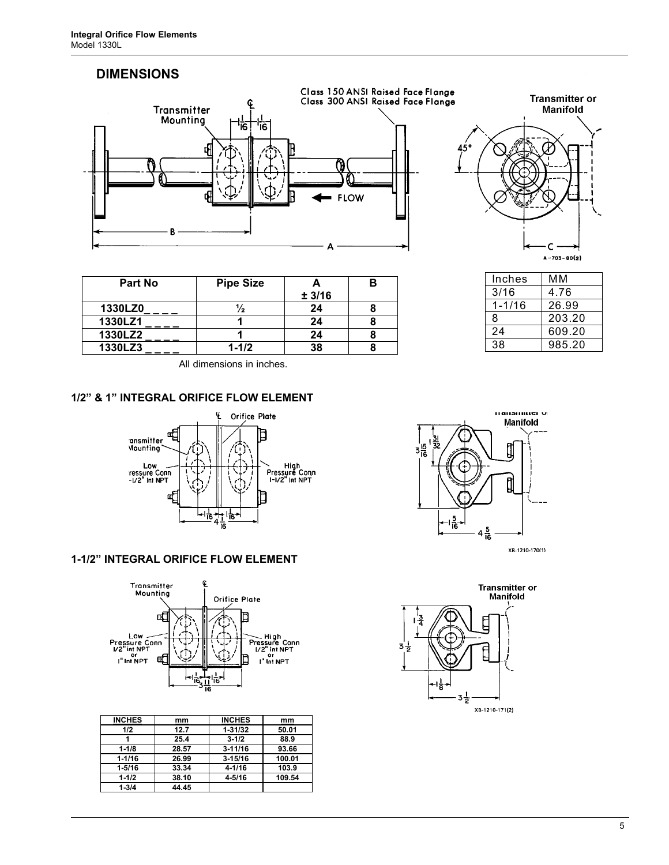# **DIMENSIONS**





Inches | MM 3/16 4.76 1-1/16 26.99 8 203.20 24 609.20 38 985.20

| <b>Pipe Size</b> |        |  |
|------------------|--------|--|
|                  | ± 3/16 |  |
|                  | 24     |  |
|                  | 24     |  |
|                  | 24     |  |
| $1 - 1/2$        | 38     |  |
|                  |        |  |

All dimensions in inches.

# **1/2" & 1" INTEGRAL ORIFICE FLOW ELEMENT**



# **1-1/2" INTEGRAL ORIFICE FLOW ELEMENT**



| <b>INCHES</b> | mm    | <b>INCHES</b> | mm     |
|---------------|-------|---------------|--------|
| 1/2           | 12.7  | $1 - 31/32$   | 50.01  |
|               | 25.4  | $3 - 1/2$     | 88.9   |
| $1 - 1/8$     | 28.57 | $3 - 11/16$   | 93.66  |
| $1 - 1/16$    | 26.99 | $3 - 15/16$   | 100.01 |
| $1 - 5/16$    | 33.34 | $4 - 1/16$    | 103.9  |
| $1 - 1/2$     | 38.10 | $4 - 5/16$    | 109.54 |
| $1 - 3/4$     | 44.45 |               |        |



XB-1210-170(1)

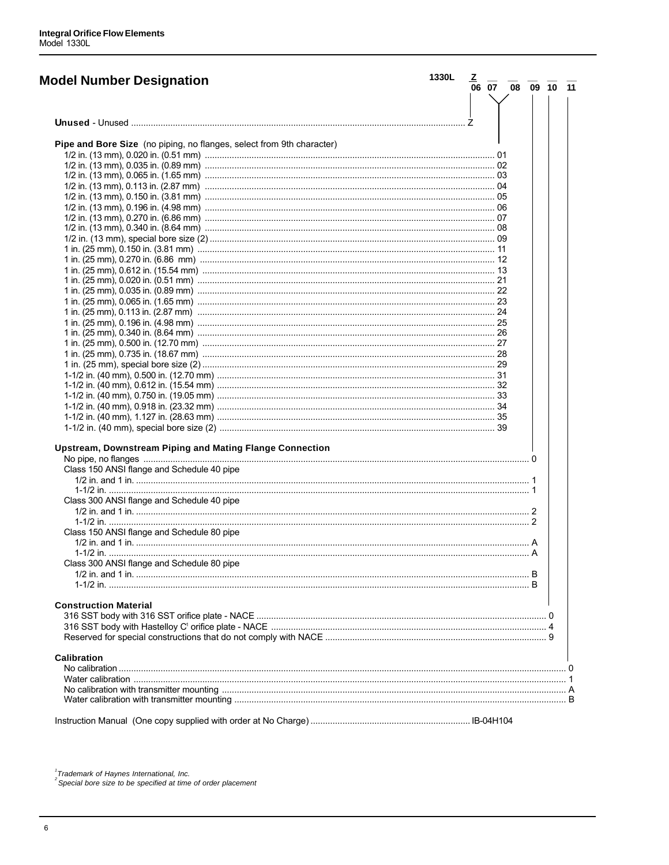| <b>Model Number Designation</b>                                       | 1330L |  | $\frac{Z}{06}$ $\frac{}{07}$ $\frac{}{08}$ $\frac{}{09}$ $\frac{}{10}$ $\frac{}{11}$ |  |  |
|-----------------------------------------------------------------------|-------|--|--------------------------------------------------------------------------------------|--|--|
|                                                                       |       |  |                                                                                      |  |  |
|                                                                       |       |  |                                                                                      |  |  |
| Pipe and Bore Size (no piping, no flanges, select from 9th character) |       |  |                                                                                      |  |  |
|                                                                       |       |  |                                                                                      |  |  |
|                                                                       |       |  |                                                                                      |  |  |
|                                                                       |       |  |                                                                                      |  |  |
|                                                                       |       |  |                                                                                      |  |  |
|                                                                       |       |  |                                                                                      |  |  |
|                                                                       |       |  |                                                                                      |  |  |
|                                                                       |       |  |                                                                                      |  |  |
|                                                                       |       |  |                                                                                      |  |  |
|                                                                       |       |  |                                                                                      |  |  |
|                                                                       |       |  |                                                                                      |  |  |
|                                                                       |       |  |                                                                                      |  |  |
|                                                                       |       |  |                                                                                      |  |  |
|                                                                       |       |  |                                                                                      |  |  |
|                                                                       |       |  |                                                                                      |  |  |
|                                                                       |       |  |                                                                                      |  |  |
|                                                                       |       |  |                                                                                      |  |  |
|                                                                       |       |  |                                                                                      |  |  |
|                                                                       |       |  |                                                                                      |  |  |
|                                                                       |       |  |                                                                                      |  |  |
|                                                                       |       |  |                                                                                      |  |  |
|                                                                       |       |  |                                                                                      |  |  |
|                                                                       |       |  |                                                                                      |  |  |
|                                                                       |       |  |                                                                                      |  |  |
|                                                                       |       |  |                                                                                      |  |  |
|                                                                       |       |  |                                                                                      |  |  |
|                                                                       |       |  |                                                                                      |  |  |
|                                                                       |       |  |                                                                                      |  |  |
|                                                                       |       |  |                                                                                      |  |  |
|                                                                       |       |  |                                                                                      |  |  |
|                                                                       |       |  |                                                                                      |  |  |
| <b>Upstream, Downstream Piping and Mating Flange Connection</b>       |       |  |                                                                                      |  |  |
|                                                                       |       |  |                                                                                      |  |  |
| Class 150 ANSI flange and Schedule 40 pipe                            |       |  |                                                                                      |  |  |
|                                                                       |       |  |                                                                                      |  |  |
|                                                                       |       |  |                                                                                      |  |  |
| Class 300 ANSI flange and Schedule 40 pipe                            |       |  |                                                                                      |  |  |
|                                                                       |       |  |                                                                                      |  |  |
|                                                                       |       |  |                                                                                      |  |  |
| Class 150 ANSI flange and Schedule 80 pipe                            |       |  |                                                                                      |  |  |
|                                                                       |       |  |                                                                                      |  |  |
|                                                                       |       |  |                                                                                      |  |  |
| Class 300 ANSI flange and Schedule 80 pipe                            |       |  |                                                                                      |  |  |
|                                                                       |       |  |                                                                                      |  |  |
|                                                                       |       |  |                                                                                      |  |  |
|                                                                       |       |  |                                                                                      |  |  |
|                                                                       |       |  |                                                                                      |  |  |
| <b>Construction Material</b>                                          |       |  |                                                                                      |  |  |
|                                                                       |       |  |                                                                                      |  |  |
|                                                                       |       |  |                                                                                      |  |  |
|                                                                       |       |  |                                                                                      |  |  |
| <b>Calibration</b>                                                    |       |  |                                                                                      |  |  |
|                                                                       |       |  |                                                                                      |  |  |
|                                                                       |       |  |                                                                                      |  |  |
|                                                                       |       |  |                                                                                      |  |  |
|                                                                       |       |  |                                                                                      |  |  |
|                                                                       |       |  |                                                                                      |  |  |
|                                                                       |       |  |                                                                                      |  |  |
|                                                                       |       |  |                                                                                      |  |  |
|                                                                       |       |  |                                                                                      |  |  |

 $^{1}$ Trademark of Haynes International, Inc.<br> $^{2}$ Special bore size to be specified at time of order placement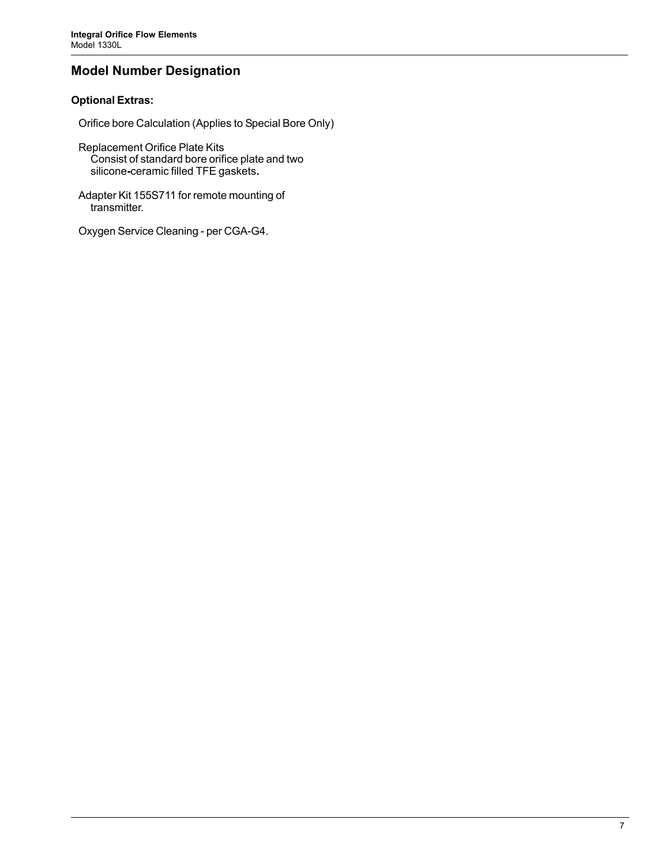# **Model Number Designation**

# **Optional Extras:**

Orifice bore Calculation (Applies to Special Bore Only)

- Replacement Orifice Plate Kits Consist of standard bore orifice plate and two silicone**-**ceramic filled TFE gaskets**.**
- Adapter Kit 155S711 for remote mounting of transmitter.
- Oxygen Service Cleaning per CGA-G4.